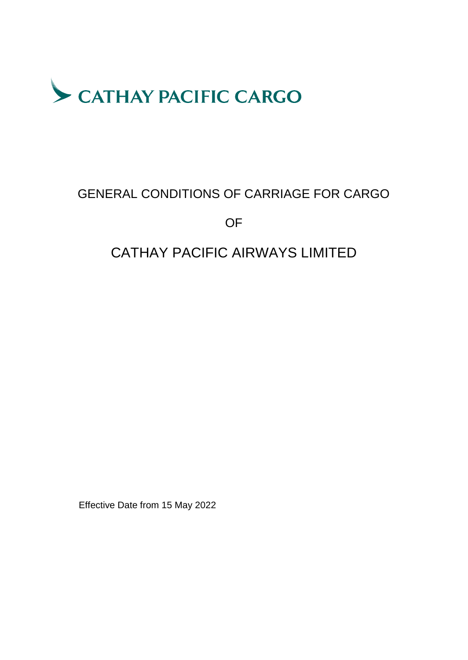

## GENERAL CONDITIONS OF CARRIAGE FOR CARGO

OF

# CATHAY PACIFIC AIRWAYS LIMITED

Effective Date from 15 May 2022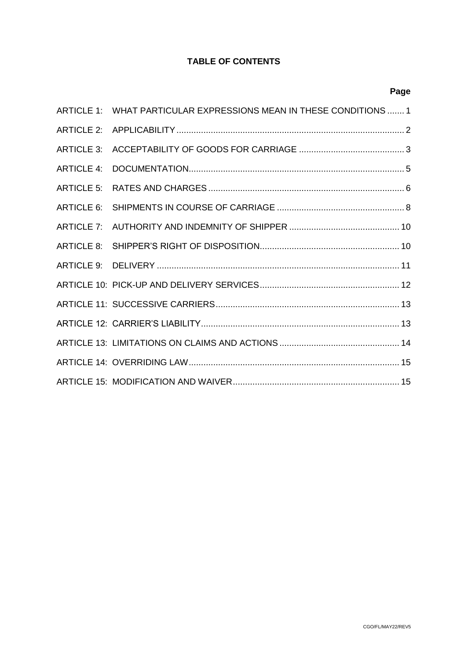## **TABLE OF CONTENTS**

|                   | ARTICLE 1: WHAT PARTICULAR EXPRESSIONS MEAN IN THESE CONDITIONS  1 |  |
|-------------------|--------------------------------------------------------------------|--|
|                   |                                                                    |  |
| <b>ARTICLE 3:</b> |                                                                    |  |
|                   |                                                                    |  |
|                   |                                                                    |  |
|                   |                                                                    |  |
|                   |                                                                    |  |
| <b>ARTICLE 8:</b> |                                                                    |  |
|                   |                                                                    |  |
|                   |                                                                    |  |
|                   |                                                                    |  |
|                   |                                                                    |  |
|                   |                                                                    |  |
|                   |                                                                    |  |
|                   |                                                                    |  |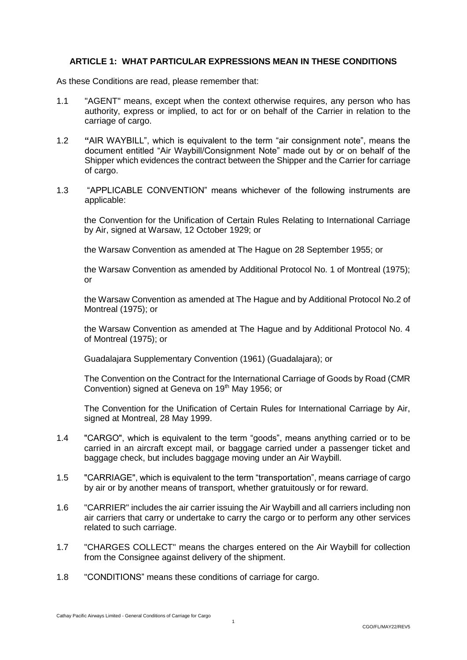#### <span id="page-2-0"></span>**ARTICLE 1: WHAT PARTICULAR EXPRESSIONS MEAN IN THESE CONDITIONS**

As these Conditions are read, please remember that:

- 1.1 "AGENT" means, except when the context otherwise requires, any person who has authority, express or implied, to act for or on behalf of the Carrier in relation to the carriage of cargo.
- 1.2 **"**AIR WAYBILL", which is equivalent to the term "air consignment note", means the document entitled "Air Waybill/Consignment Note" made out by or on behalf of the Shipper which evidences the contract between the Shipper and the Carrier for carriage of cargo.
- 1.3 "APPLICABLE CONVENTION" means whichever of the following instruments are applicable:

the Convention for the Unification of Certain Rules Relating to International Carriage by Air, signed at Warsaw, 12 October 1929; or

the Warsaw Convention as amended at The Hague on 28 September 1955; or

the Warsaw Convention as amended by Additional Protocol No. 1 of Montreal (1975); or

the Warsaw Convention as amended at The Hague and by Additional Protocol No.2 of Montreal (1975); or

the Warsaw Convention as amended at The Hague and by Additional Protocol No. 4 of Montreal (1975); or

Guadalajara Supplementary Convention (1961) (Guadalajara); or

The Convention on the Contract for the International Carriage of Goods by Road (CMR Convention) signed at Geneva on 19<sup>th</sup> May 1956; or

The Convention for the Unification of Certain Rules for International Carriage by Air, signed at Montreal, 28 May 1999.

- 1.4 "CARGO", which is equivalent to the term "goods", means anything carried or to be carried in an aircraft except mail, or baggage carried under a passenger ticket and baggage check, but includes baggage moving under an Air Waybill.
- 1.5 "CARRIAGE", which is equivalent to the term "transportation", means carriage of cargo by air or by another means of transport, whether gratuitously or for reward.
- 1.6 "CARRIER" includes the air carrier issuing the Air Waybill and all carriers including non air carriers that carry or undertake to carry the cargo or to perform any other services related to such carriage.
- 1.7 "CHARGES COLLECT" means the charges entered on the Air Waybill for collection from the Consignee against delivery of the shipment.
- 1.8 "CONDITIONS" means these conditions of carriage for cargo.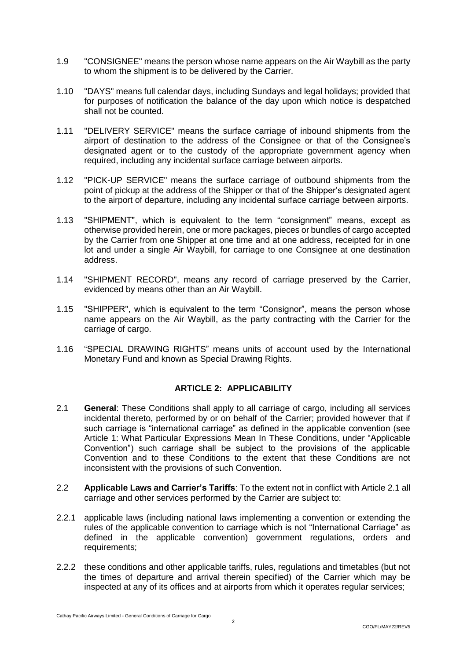- 1.9 "CONSIGNEE" means the person whose name appears on the Air Waybill as the party to whom the shipment is to be delivered by the Carrier.
- 1.10 "DAYS" means full calendar days, including Sundays and legal holidays; provided that for purposes of notification the balance of the day upon which notice is despatched shall not be counted.
- 1.11 "DELIVERY SERVICE" means the surface carriage of inbound shipments from the airport of destination to the address of the Consignee or that of the Consignee's designated agent or to the custody of the appropriate government agency when required, including any incidental surface carriage between airports.
- 1.12 "PICK-UP SERVICE" means the surface carriage of outbound shipments from the point of pickup at the address of the Shipper or that of the Shipper's designated agent to the airport of departure, including any incidental surface carriage between airports.
- 1.13 "SHIPMENT", which is equivalent to the term "consignment" means, except as otherwise provided herein, one or more packages, pieces or bundles of cargo accepted by the Carrier from one Shipper at one time and at one address, receipted for in one lot and under a single Air Waybill, for carriage to one Consignee at one destination address.
- 1.14 "SHIPMENT RECORD", means any record of carriage preserved by the Carrier, evidenced by means other than an Air Waybill.
- 1.15 "SHIPPER", which is equivalent to the term "Consignor", means the person whose name appears on the Air Waybill, as the party contracting with the Carrier for the carriage of cargo.
- 1.16 "SPECIAL DRAWING RIGHTS" means units of account used by the International Monetary Fund and known as Special Drawing Rights.

#### **ARTICLE 2: APPLICABILITY**

- <span id="page-3-0"></span>2.1 **General**: These Conditions shall apply to all carriage of cargo, including all services incidental thereto, performed by or on behalf of the Carrier; provided however that if such carriage is "international carriage" as defined in the applicable convention (see Article 1: What Particular Expressions Mean In These Conditions, under "Applicable Convention") such carriage shall be subject to the provisions of the applicable Convention and to these Conditions to the extent that these Conditions are not inconsistent with the provisions of such Convention.
- 2.2 **Applicable Laws and Carrier's Tariffs**: To the extent not in conflict with Article 2.1 all carriage and other services performed by the Carrier are subject to:
- 2.2.1 applicable laws (including national laws implementing a convention or extending the rules of the applicable convention to carriage which is not "International Carriage" as defined in the applicable convention) government regulations, orders and requirements;
- 2.2.2 these conditions and other applicable tariffs, rules, regulations and timetables (but not the times of departure and arrival therein specified) of the Carrier which may be inspected at any of its offices and at airports from which it operates regular services;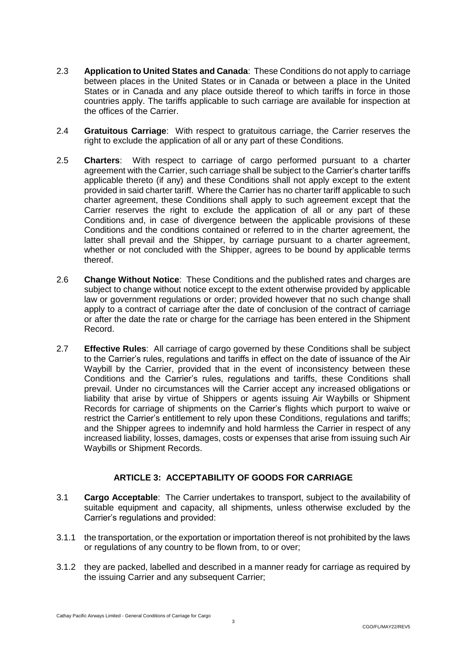- 2.3 **Application to United States and Canada**: These Conditions do not apply to carriage between places in the United States or in Canada or between a place in the United States or in Canada and any place outside thereof to which tariffs in force in those countries apply. The tariffs applicable to such carriage are available for inspection at the offices of the Carrier.
- 2.4 **Gratuitous Carriage**: With respect to gratuitous carriage, the Carrier reserves the right to exclude the application of all or any part of these Conditions.
- 2.5 **Charters**: With respect to carriage of cargo performed pursuant to a charter agreement with the Carrier, such carriage shall be subject to the Carrier's charter tariffs applicable thereto (if any) and these Conditions shall not apply except to the extent provided in said charter tariff. Where the Carrier has no charter tariff applicable to such charter agreement, these Conditions shall apply to such agreement except that the Carrier reserves the right to exclude the application of all or any part of these Conditions and, in case of divergence between the applicable provisions of these Conditions and the conditions contained or referred to in the charter agreement, the latter shall prevail and the Shipper, by carriage pursuant to a charter agreement, whether or not concluded with the Shipper, agrees to be bound by applicable terms thereof.
- 2.6 **Change Without Notice**: These Conditions and the published rates and charges are subject to change without notice except to the extent otherwise provided by applicable law or government regulations or order; provided however that no such change shall apply to a contract of carriage after the date of conclusion of the contract of carriage or after the date the rate or charge for the carriage has been entered in the Shipment Record.
- 2.7 **Effective Rules**: All carriage of cargo governed by these Conditions shall be subject to the Carrier's rules, regulations and tariffs in effect on the date of issuance of the Air Waybill by the Carrier, provided that in the event of inconsistency between these Conditions and the Carrier's rules, regulations and tariffs, these Conditions shall prevail. Under no circumstances will the Carrier accept any increased obligations or liability that arise by virtue of Shippers or agents issuing Air Waybills or Shipment Records for carriage of shipments on the Carrier's flights which purport to waive or restrict the Carrier's entitlement to rely upon these Conditions, regulations and tariffs; and the Shipper agrees to indemnify and hold harmless the Carrier in respect of any increased liability, losses, damages, costs or expenses that arise from issuing such Air Waybills or Shipment Records.

#### **ARTICLE 3: ACCEPTABILITY OF GOODS FOR CARRIAGE**

- <span id="page-4-0"></span>3.1 **Cargo Acceptable**: The Carrier undertakes to transport, subject to the availability of suitable equipment and capacity, all shipments, unless otherwise excluded by the Carrier's regulations and provided:
- 3.1.1 the transportation, or the exportation or importation thereof is not prohibited by the laws or regulations of any country to be flown from, to or over;
- 3.1.2 they are packed, labelled and described in a manner ready for carriage as required by the issuing Carrier and any subsequent Carrier;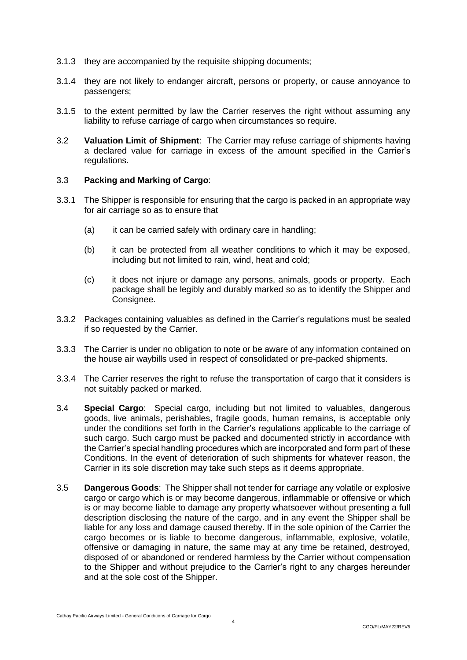- 3.1.3 they are accompanied by the requisite shipping documents;
- 3.1.4 they are not likely to endanger aircraft, persons or property, or cause annoyance to passengers;
- 3.1.5 to the extent permitted by law the Carrier reserves the right without assuming any liability to refuse carriage of cargo when circumstances so require.
- 3.2 **Valuation Limit of Shipment**: The Carrier may refuse carriage of shipments having a declared value for carriage in excess of the amount specified in the Carrier's regulations.

#### 3.3 **Packing and Marking of Cargo**:

- 3.3.1 The Shipper is responsible for ensuring that the cargo is packed in an appropriate way for air carriage so as to ensure that
	- (a) it can be carried safely with ordinary care in handling;
	- (b) it can be protected from all weather conditions to which it may be exposed, including but not limited to rain, wind, heat and cold;
	- (c) it does not injure or damage any persons, animals, goods or property. Each package shall be legibly and durably marked so as to identify the Shipper and Consignee.
- 3.3.2 Packages containing valuables as defined in the Carrier's regulations must be sealed if so requested by the Carrier.
- 3.3.3 The Carrier is under no obligation to note or be aware of any information contained on the house air waybills used in respect of consolidated or pre-packed shipments.
- 3.3.4 The Carrier reserves the right to refuse the transportation of cargo that it considers is not suitably packed or marked.
- 3.4 **Special Cargo**:Special cargo, including but not limited to valuables, dangerous goods, live animals, perishables, fragile goods, human remains, is acceptable only under the conditions set forth in the Carrier's regulations applicable to the carriage of such cargo. Such cargo must be packed and documented strictly in accordance with the Carrier's special handling procedures which are incorporated and form part of these Conditions. In the event of deterioration of such shipments for whatever reason, the Carrier in its sole discretion may take such steps as it deems appropriate.
- 3.5 **Dangerous Goods**: The Shipper shall not tender for carriage any volatile or explosive cargo or cargo which is or may become dangerous, inflammable or offensive or which is or may become liable to damage any property whatsoever without presenting a full description disclosing the nature of the cargo, and in any event the Shipper shall be liable for any loss and damage caused thereby. If in the sole opinion of the Carrier the cargo becomes or is liable to become dangerous, inflammable, explosive, volatile, offensive or damaging in nature, the same may at any time be retained, destroyed, disposed of or abandoned or rendered harmless by the Carrier without compensation to the Shipper and without prejudice to the Carrier's right to any charges hereunder and at the sole cost of the Shipper.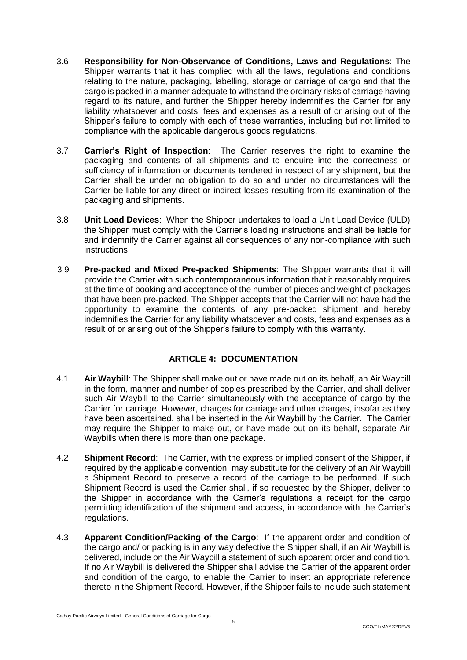- 3.6 **Responsibility for Non-Observance of Conditions, Laws and Regulations**: The Shipper warrants that it has complied with all the laws, regulations and conditions relating to the nature, packaging, labelling, storage or carriage of cargo and that the cargo is packed in a manner adequate to withstand the ordinary risks of carriage having regard to its nature, and further the Shipper hereby indemnifies the Carrier for any liability whatsoever and costs, fees and expenses as a result of or arising out of the Shipper's failure to comply with each of these warranties, including but not limited to compliance with the applicable dangerous goods regulations.
- 3.7 **Carrier's Right of Inspection**: The Carrier reserves the right to examine the packaging and contents of all shipments and to enquire into the correctness or sufficiency of information or documents tendered in respect of any shipment, but the Carrier shall be under no obligation to do so and under no circumstances will the Carrier be liable for any direct or indirect losses resulting from its examination of the packaging and shipments.
- 3.8 **Unit Load Devices**: When the Shipper undertakes to load a Unit Load Device (ULD) the Shipper must comply with the Carrier's loading instructions and shall be liable for and indemnify the Carrier against all consequences of any non-compliance with such instructions.
- 3.9 **Pre-packed and Mixed Pre-packed Shipments**: The Shipper warrants that it will provide the Carrier with such contemporaneous information that it reasonably requires at the time of booking and acceptance of the number of pieces and weight of packages that have been pre-packed. The Shipper accepts that the Carrier will not have had the opportunity to examine the contents of any pre-packed shipment and hereby indemnifies the Carrier for any liability whatsoever and costs, fees and expenses as a result of or arising out of the Shipper's failure to comply with this warranty.

#### **ARTICLE 4: DOCUMENTATION**

- <span id="page-6-0"></span>4.1 **Air Waybill**: The Shipper shall make out or have made out on its behalf, an Air Waybill in the form, manner and number of copies prescribed by the Carrier, and shall deliver such Air Waybill to the Carrier simultaneously with the acceptance of cargo by the Carrier for carriage. However, charges for carriage and other charges, insofar as they have been ascertained, shall be inserted in the Air Waybill by the Carrier. The Carrier may require the Shipper to make out, or have made out on its behalf, separate Air Waybills when there is more than one package.
- 4.2 **Shipment Record**:The Carrier, with the express or implied consent of the Shipper, if required by the applicable convention, may substitute for the delivery of an Air Waybill a Shipment Record to preserve a record of the carriage to be performed. If such Shipment Record is used the Carrier shall, if so requested by the Shipper, deliver to the Shipper in accordance with the Carrier's regulations a receipt for the cargo permitting identification of the shipment and access, in accordance with the Carrier's regulations.
- 4.3 **Apparent Condition/Packing of the Cargo**: If the apparent order and condition of the cargo and/ or packing is in any way defective the Shipper shall, if an Air Waybill is delivered, include on the Air Waybill a statement of such apparent order and condition. If no Air Waybill is delivered the Shipper shall advise the Carrier of the apparent order and condition of the cargo, to enable the Carrier to insert an appropriate reference thereto in the Shipment Record. However, if the Shipper fails to include such statement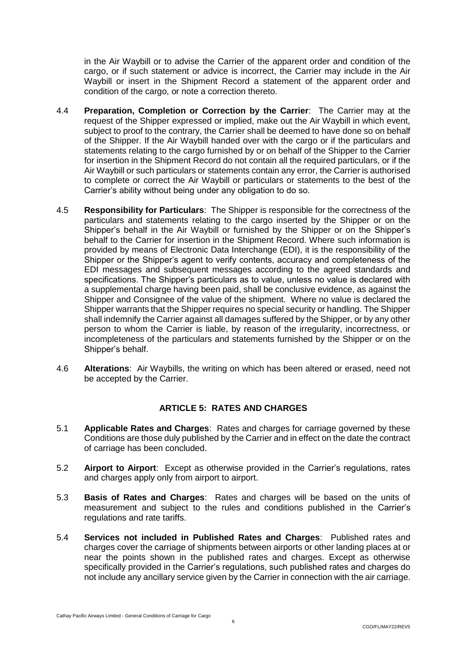in the Air Waybill or to advise the Carrier of the apparent order and condition of the cargo, or if such statement or advice is incorrect, the Carrier may include in the Air Waybill or insert in the Shipment Record a statement of the apparent order and condition of the cargo, or note a correction thereto.

- 4.4 **Preparation, Completion or Correction by the Carrier**: The Carrier may at the request of the Shipper expressed or implied, make out the Air Waybill in which event, subject to proof to the contrary, the Carrier shall be deemed to have done so on behalf of the Shipper. If the Air Waybill handed over with the cargo or if the particulars and statements relating to the cargo furnished by or on behalf of the Shipper to the Carrier for insertion in the Shipment Record do not contain all the required particulars, or if the Air Waybill or such particulars or statements contain any error, the Carrier is authorised to complete or correct the Air Waybill or particulars or statements to the best of the Carrier's ability without being under any obligation to do so.
- 4.5 **Responsibility for Particulars**:The Shipper is responsible for the correctness of the particulars and statements relating to the cargo inserted by the Shipper or on the Shipper's behalf in the Air Waybill or furnished by the Shipper or on the Shipper's behalf to the Carrier for insertion in the Shipment Record. Where such information is provided by means of Electronic Data Interchange (EDI), it is the responsibility of the Shipper or the Shipper's agent to verify contents, accuracy and completeness of the EDI messages and subsequent messages according to the agreed standards and specifications. The Shipper's particulars as to value, unless no value is declared with a supplemental charge having been paid, shall be conclusive evidence, as against the Shipper and Consignee of the value of the shipment. Where no value is declared the Shipper warrants that the Shipper requires no special security or handling. The Shipper shall indemnify the Carrier against all damages suffered by the Shipper, or by any other person to whom the Carrier is liable, by reason of the irregularity, incorrectness, or incompleteness of the particulars and statements furnished by the Shipper or on the Shipper's behalf.
- 4.6 **Alterations**: Air Waybills, the writing on which has been altered or erased, need not be accepted by the Carrier.

## **ARTICLE 5: RATES AND CHARGES**

- <span id="page-7-0"></span>5.1 **Applicable Rates and Charges**: Rates and charges for carriage governed by these Conditions are those duly published by the Carrier and in effect on the date the contract of carriage has been concluded.
- 5.2 **Airport to Airport**: Except as otherwise provided in the Carrier's regulations, rates and charges apply only from airport to airport.
- 5.3 **Basis of Rates and Charges**:Rates and charges will be based on the units of measurement and subject to the rules and conditions published in the Carrier's regulations and rate tariffs.
- 5.4 **Services not included in Published Rates and Charges**: Published rates and charges cover the carriage of shipments between airports or other landing places at or near the points shown in the published rates and charges. Except as otherwise specifically provided in the Carrier's regulations, such published rates and charges do not include any ancillary service given by the Carrier in connection with the air carriage.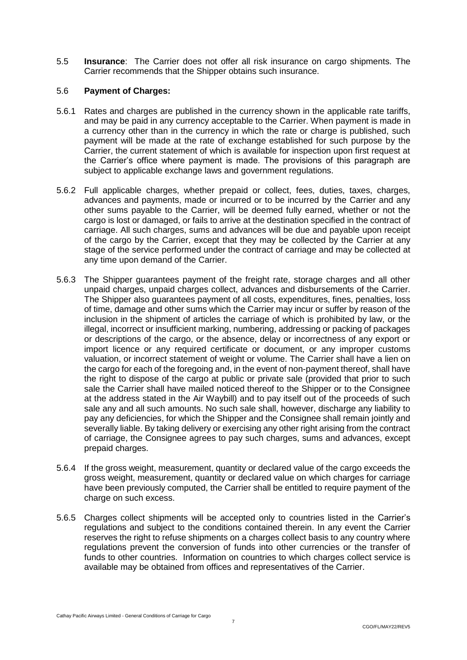5.5 **Insurance**: The Carrier does not offer all risk insurance on cargo shipments. The Carrier recommends that the Shipper obtains such insurance.

#### 5.6 **Payment of Charges:**

- 5.6.1 Rates and charges are published in the currency shown in the applicable rate tariffs, and may be paid in any currency acceptable to the Carrier. When payment is made in a currency other than in the currency in which the rate or charge is published, such payment will be made at the rate of exchange established for such purpose by the Carrier, the current statement of which is available for inspection upon first request at the Carrier's office where payment is made. The provisions of this paragraph are subject to applicable exchange laws and government regulations.
- 5.6.2 Full applicable charges, whether prepaid or collect, fees, duties, taxes, charges, advances and payments, made or incurred or to be incurred by the Carrier and any other sums payable to the Carrier, will be deemed fully earned, whether or not the cargo is lost or damaged, or fails to arrive at the destination specified in the contract of carriage. All such charges, sums and advances will be due and payable upon receipt of the cargo by the Carrier, except that they may be collected by the Carrier at any stage of the service performed under the contract of carriage and may be collected at any time upon demand of the Carrier.
- 5.6.3 The Shipper guarantees payment of the freight rate, storage charges and all other unpaid charges, unpaid charges collect, advances and disbursements of the Carrier. The Shipper also guarantees payment of all costs, expenditures, fines, penalties, loss of time, damage and other sums which the Carrier may incur or suffer by reason of the inclusion in the shipment of articles the carriage of which is prohibited by law, or the illegal, incorrect or insufficient marking, numbering, addressing or packing of packages or descriptions of the cargo, or the absence, delay or incorrectness of any export or import licence or any required certificate or document, or any improper customs valuation, or incorrect statement of weight or volume. The Carrier shall have a lien on the cargo for each of the foregoing and, in the event of non-payment thereof, shall have the right to dispose of the cargo at public or private sale (provided that prior to such sale the Carrier shall have mailed noticed thereof to the Shipper or to the Consignee at the address stated in the Air Waybill) and to pay itself out of the proceeds of such sale any and all such amounts. No such sale shall, however, discharge any liability to pay any deficiencies, for which the Shipper and the Consignee shall remain jointly and severally liable. By taking delivery or exercising any other right arising from the contract of carriage, the Consignee agrees to pay such charges, sums and advances, except prepaid charges.
- 5.6.4 If the gross weight, measurement, quantity or declared value of the cargo exceeds the gross weight, measurement, quantity or declared value on which charges for carriage have been previously computed, the Carrier shall be entitled to require payment of the charge on such excess.
- 5.6.5 Charges collect shipments will be accepted only to countries listed in the Carrier's regulations and subject to the conditions contained therein. In any event the Carrier reserves the right to refuse shipments on a charges collect basis to any country where regulations prevent the conversion of funds into other currencies or the transfer of funds to other countries. Information on countries to which charges collect service is available may be obtained from offices and representatives of the Carrier.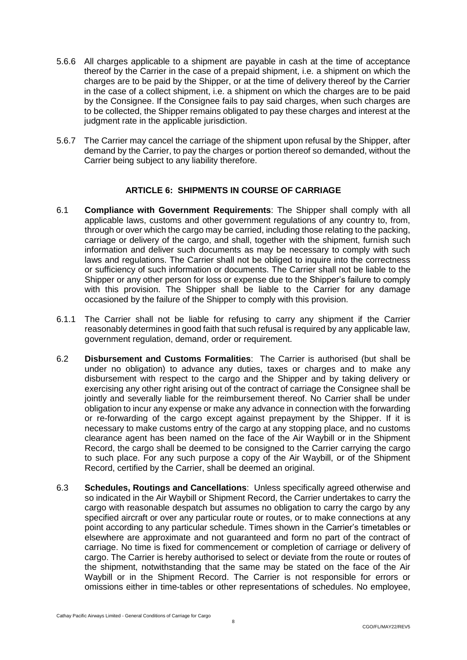- 5.6.6 All charges applicable to a shipment are payable in cash at the time of acceptance thereof by the Carrier in the case of a prepaid shipment, i.e. a shipment on which the charges are to be paid by the Shipper, or at the time of delivery thereof by the Carrier in the case of a collect shipment, i.e. a shipment on which the charges are to be paid by the Consignee. If the Consignee fails to pay said charges, when such charges are to be collected, the Shipper remains obligated to pay these charges and interest at the judgment rate in the applicable jurisdiction.
- 5.6.7 The Carrier may cancel the carriage of the shipment upon refusal by the Shipper, after demand by the Carrier, to pay the charges or portion thereof so demanded, without the Carrier being subject to any liability therefore.

#### **ARTICLE 6: SHIPMENTS IN COURSE OF CARRIAGE**

- <span id="page-9-0"></span>6.1 **Compliance with Government Requirements**: The Shipper shall comply with all applicable laws, customs and other government regulations of any country to, from, through or over which the cargo may be carried, including those relating to the packing, carriage or delivery of the cargo, and shall, together with the shipment, furnish such information and deliver such documents as may be necessary to comply with such laws and regulations. The Carrier shall not be obliged to inquire into the correctness or sufficiency of such information or documents. The Carrier shall not be liable to the Shipper or any other person for loss or expense due to the Shipper's failure to comply with this provision. The Shipper shall be liable to the Carrier for any damage occasioned by the failure of the Shipper to comply with this provision.
- 6.1.1 The Carrier shall not be liable for refusing to carry any shipment if the Carrier reasonably determines in good faith that such refusal is required by any applicable law, government regulation, demand, order or requirement.
- 6.2 **Disbursement and Customs Formalities**: The Carrier is authorised (but shall be under no obligation) to advance any duties, taxes or charges and to make any disbursement with respect to the cargo and the Shipper and by taking delivery or exercising any other right arising out of the contract of carriage the Consignee shall be jointly and severally liable for the reimbursement thereof. No Carrier shall be under obligation to incur any expense or make any advance in connection with the forwarding or re-forwarding of the cargo except against prepayment by the Shipper. If it is necessary to make customs entry of the cargo at any stopping place, and no customs clearance agent has been named on the face of the Air Waybill or in the Shipment Record, the cargo shall be deemed to be consigned to the Carrier carrying the cargo to such place. For any such purpose a copy of the Air Waybill, or of the Shipment Record, certified by the Carrier, shall be deemed an original.
- 6.3 **Schedules, Routings and Cancellations**: Unless specifically agreed otherwise and so indicated in the Air Waybill or Shipment Record, the Carrier undertakes to carry the cargo with reasonable despatch but assumes no obligation to carry the cargo by any specified aircraft or over any particular route or routes, or to make connections at any point according to any particular schedule. Times shown in the Carrier's timetables or elsewhere are approximate and not guaranteed and form no part of the contract of carriage. No time is fixed for commencement or completion of carriage or delivery of cargo. The Carrier is hereby authorised to select or deviate from the route or routes of the shipment, notwithstanding that the same may be stated on the face of the Air Waybill or in the Shipment Record. The Carrier is not responsible for errors or omissions either in time-tables or other representations of schedules. No employee,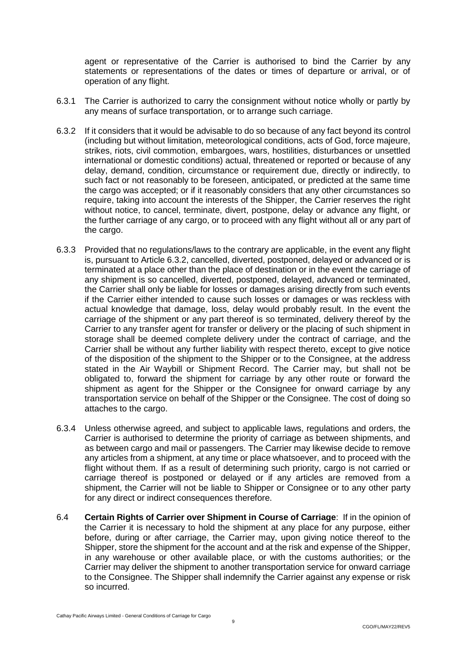agent or representative of the Carrier is authorised to bind the Carrier by any statements or representations of the dates or times of departure or arrival, or of operation of any flight.

- 6.3.1 The Carrier is authorized to carry the consignment without notice wholly or partly by any means of surface transportation, or to arrange such carriage.
- 6.3.2 If it considers that it would be advisable to do so because of any fact beyond its control (including but without limitation, meteorological conditions, acts of God, force majeure, strikes, riots, civil commotion, embargoes, wars, hostilities, disturbances or unsettled international or domestic conditions) actual, threatened or reported or because of any delay, demand, condition, circumstance or requirement due, directly or indirectly, to such fact or not reasonably to be foreseen, anticipated, or predicted at the same time the cargo was accepted; or if it reasonably considers that any other circumstances so require, taking into account the interests of the Shipper, the Carrier reserves the right without notice, to cancel, terminate, divert, postpone, delay or advance any flight, or the further carriage of any cargo, or to proceed with any flight without all or any part of the cargo.
- 6.3.3 Provided that no regulations/laws to the contrary are applicable, in the event any flight is, pursuant to Article 6.3.2, cancelled, diverted, postponed, delayed or advanced or is terminated at a place other than the place of destination or in the event the carriage of any shipment is so cancelled, diverted, postponed, delayed, advanced or terminated, the Carrier shall only be liable for losses or damages arising directly from such events if the Carrier either intended to cause such losses or damages or was reckless with actual knowledge that damage, loss, delay would probably result. In the event the carriage of the shipment or any part thereof is so terminated, delivery thereof by the Carrier to any transfer agent for transfer or delivery or the placing of such shipment in storage shall be deemed complete delivery under the contract of carriage, and the Carrier shall be without any further liability with respect thereto, except to give notice of the disposition of the shipment to the Shipper or to the Consignee, at the address stated in the Air Waybill or Shipment Record. The Carrier may, but shall not be obligated to, forward the shipment for carriage by any other route or forward the shipment as agent for the Shipper or the Consignee for onward carriage by any transportation service on behalf of the Shipper or the Consignee. The cost of doing so attaches to the cargo.
- 6.3.4 Unless otherwise agreed, and subject to applicable laws, regulations and orders, the Carrier is authorised to determine the priority of carriage as between shipments, and as between cargo and mail or passengers. The Carrier may likewise decide to remove any articles from a shipment, at any time or place whatsoever, and to proceed with the flight without them. If as a result of determining such priority, cargo is not carried or carriage thereof is postponed or delayed or if any articles are removed from a shipment, the Carrier will not be liable to Shipper or Consignee or to any other party for any direct or indirect consequences therefore.
- 6.4 **Certain Rights of Carrier over Shipment in Course of Carriage**: If in the opinion of the Carrier it is necessary to hold the shipment at any place for any purpose, either before, during or after carriage, the Carrier may, upon giving notice thereof to the Shipper, store the shipment for the account and at the risk and expense of the Shipper, in any warehouse or other available place, or with the customs authorities; or the Carrier may deliver the shipment to another transportation service for onward carriage to the Consignee. The Shipper shall indemnify the Carrier against any expense or risk so incurred.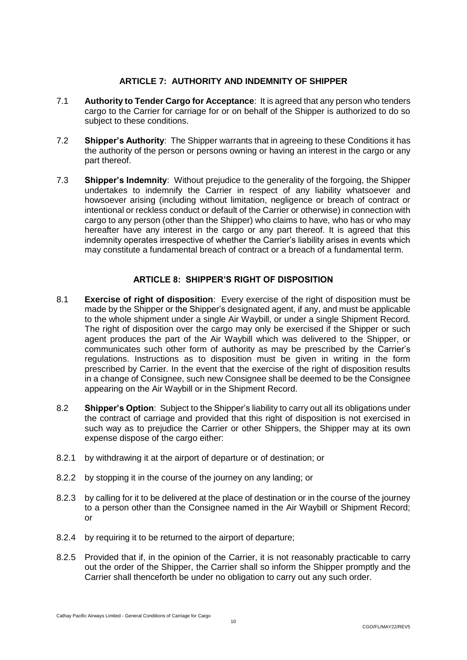#### **ARTICLE 7: AUTHORITY AND INDEMNITY OF SHIPPER**

- <span id="page-11-0"></span>7.1 **Authority to Tender Cargo for Acceptance**:It is agreed that any person who tenders cargo to the Carrier for carriage for or on behalf of the Shipper is authorized to do so subject to these conditions.
- 7.2 **Shipper's Authority**:The Shipper warrants that in agreeing to these Conditions it has the authority of the person or persons owning or having an interest in the cargo or any part thereof.
- 7.3 **Shipper's Indemnity**:Without prejudice to the generality of the forgoing, the Shipper undertakes to indemnify the Carrier in respect of any liability whatsoever and howsoever arising (including without limitation, negligence or breach of contract or intentional or reckless conduct or default of the Carrier or otherwise) in connection with cargo to any person (other than the Shipper) who claims to have, who has or who may hereafter have any interest in the cargo or any part thereof. It is agreed that this indemnity operates irrespective of whether the Carrier's liability arises in events which may constitute a fundamental breach of contract or a breach of a fundamental term.

#### **ARTICLE 8: SHIPPER'S RIGHT OF DISPOSITION**

- <span id="page-11-1"></span>8.1 **Exercise of right of disposition**:Every exercise of the right of disposition must be made by the Shipper or the Shipper's designated agent, if any, and must be applicable to the whole shipment under a single Air Waybill, or under a single Shipment Record. The right of disposition over the cargo may only be exercised if the Shipper or such agent produces the part of the Air Waybill which was delivered to the Shipper, or communicates such other form of authority as may be prescribed by the Carrier's regulations. Instructions as to disposition must be given in writing in the form prescribed by Carrier. In the event that the exercise of the right of disposition results in a change of Consignee, such new Consignee shall be deemed to be the Consignee appearing on the Air Waybill or in the Shipment Record.
- 8.2 **Shipper's Option**: Subject to the Shipper's liability to carry out all its obligations under the contract of carriage and provided that this right of disposition is not exercised in such way as to prejudice the Carrier or other Shippers, the Shipper may at its own expense dispose of the cargo either:
- 8.2.1 by withdrawing it at the airport of departure or of destination; or
- 8.2.2 by stopping it in the course of the journey on any landing; or
- 8.2.3 by calling for it to be delivered at the place of destination or in the course of the journey to a person other than the Consignee named in the Air Waybill or Shipment Record; or
- 8.2.4 by requiring it to be returned to the airport of departure;
- 8.2.5 Provided that if, in the opinion of the Carrier, it is not reasonably practicable to carry out the order of the Shipper, the Carrier shall so inform the Shipper promptly and the Carrier shall thenceforth be under no obligation to carry out any such order.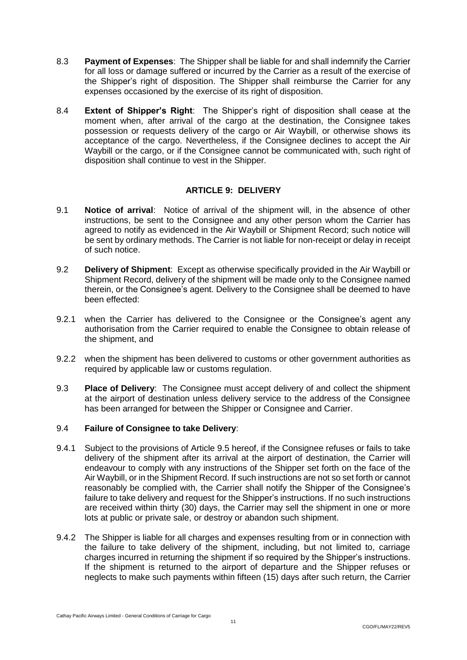- 8.3 **Payment of Expenses**: The Shipper shall be liable for and shall indemnify the Carrier for all loss or damage suffered or incurred by the Carrier as a result of the exercise of the Shipper's right of disposition. The Shipper shall reimburse the Carrier for any expenses occasioned by the exercise of its right of disposition.
- 8.4 **Extent of Shipper's Right**:The Shipper's right of disposition shall cease at the moment when, after arrival of the cargo at the destination, the Consignee takes possession or requests delivery of the cargo or Air Waybill, or otherwise shows its acceptance of the cargo. Nevertheless, if the Consignee declines to accept the Air Waybill or the cargo, or if the Consignee cannot be communicated with, such right of disposition shall continue to vest in the Shipper.

#### **ARTICLE 9: DELIVERY**

- <span id="page-12-0"></span>9.1 **Notice of arrival**:Notice of arrival of the shipment will, in the absence of other instructions, be sent to the Consignee and any other person whom the Carrier has agreed to notify as evidenced in the Air Waybill or Shipment Record; such notice will be sent by ordinary methods. The Carrier is not liable for non-receipt or delay in receipt of such notice.
- 9.2 **Delivery of Shipment**: Except as otherwise specifically provided in the Air Waybill or Shipment Record, delivery of the shipment will be made only to the Consignee named therein, or the Consignee's agent. Delivery to the Consignee shall be deemed to have been effected:
- 9.2.1 when the Carrier has delivered to the Consignee or the Consignee's agent any authorisation from the Carrier required to enable the Consignee to obtain release of the shipment, and
- 9.2.2 when the shipment has been delivered to customs or other government authorities as required by applicable law or customs regulation.
- 9.3 **Place of Delivery**: The Consignee must accept delivery of and collect the shipment at the airport of destination unless delivery service to the address of the Consignee has been arranged for between the Shipper or Consignee and Carrier.

#### 9.4 **Failure of Consignee to take Delivery**:

- 9.4.1 Subject to the provisions of Article 9.5 hereof, if the Consignee refuses or fails to take delivery of the shipment after its arrival at the airport of destination, the Carrier will endeavour to comply with any instructions of the Shipper set forth on the face of the Air Waybill, or in the Shipment Record. If such instructions are not so set forth or cannot reasonably be complied with, the Carrier shall notify the Shipper of the Consignee's failure to take delivery and request for the Shipper's instructions. If no such instructions are received within thirty (30) days, the Carrier may sell the shipment in one or more lots at public or private sale, or destroy or abandon such shipment.
- 9.4.2 The Shipper is liable for all charges and expenses resulting from or in connection with the failure to take delivery of the shipment, including, but not limited to, carriage charges incurred in returning the shipment if so required by the Shipper's instructions. If the shipment is returned to the airport of departure and the Shipper refuses or neglects to make such payments within fifteen (15) days after such return, the Carrier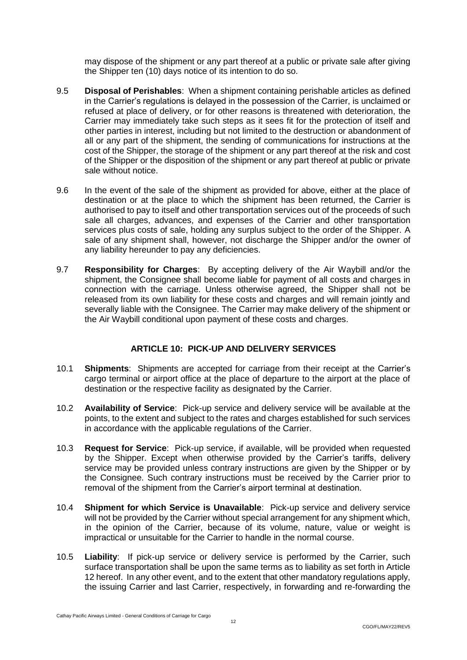may dispose of the shipment or any part thereof at a public or private sale after giving the Shipper ten (10) days notice of its intention to do so.

- 9.5 **Disposal of Perishables**: When a shipment containing perishable articles as defined in the Carrier's regulations is delayed in the possession of the Carrier, is unclaimed or refused at place of delivery, or for other reasons is threatened with deterioration, the Carrier may immediately take such steps as it sees fit for the protection of itself and other parties in interest, including but not limited to the destruction or abandonment of all or any part of the shipment, the sending of communications for instructions at the cost of the Shipper, the storage of the shipment or any part thereof at the risk and cost of the Shipper or the disposition of the shipment or any part thereof at public or private sale without notice.
- 9.6 In the event of the sale of the shipment as provided for above, either at the place of destination or at the place to which the shipment has been returned, the Carrier is authorised to pay to itself and other transportation services out of the proceeds of such sale all charges, advances, and expenses of the Carrier and other transportation services plus costs of sale, holding any surplus subject to the order of the Shipper. A sale of any shipment shall, however, not discharge the Shipper and/or the owner of any liability hereunder to pay any deficiencies.
- 9.7 **Responsibility for Charges**: By accepting delivery of the Air Waybill and/or the shipment, the Consignee shall become liable for payment of all costs and charges in connection with the carriage. Unless otherwise agreed, the Shipper shall not be released from its own liability for these costs and charges and will remain jointly and severally liable with the Consignee. The Carrier may make delivery of the shipment or the Air Waybill conditional upon payment of these costs and charges.

## **ARTICLE 10: PICK-UP AND DELIVERY SERVICES**

- <span id="page-13-0"></span>10.1 **Shipments**:Shipments are accepted for carriage from their receipt at the Carrier's cargo terminal or airport office at the place of departure to the airport at the place of destination or the respective facility as designated by the Carrier.
- 10.2 **Availability of Service**: Pick-up service and delivery service will be available at the points, to the extent and subject to the rates and charges established for such services in accordance with the applicable regulations of the Carrier.
- 10.3 **Request for Service**: Pick-up service, if available, will be provided when requested by the Shipper. Except when otherwise provided by the Carrier's tariffs, delivery service may be provided unless contrary instructions are given by the Shipper or by the Consignee. Such contrary instructions must be received by the Carrier prior to removal of the shipment from the Carrier's airport terminal at destination.
- 10.4 **Shipment for which Service is Unavailable**: Pick-up service and delivery service will not be provided by the Carrier without special arrangement for any shipment which, in the opinion of the Carrier, because of its volume, nature, value or weight is impractical or unsuitable for the Carrier to handle in the normal course.
- 10.5 **Liability**: If pick-up service or delivery service is performed by the Carrier, such surface transportation shall be upon the same terms as to liability as set forth in Article 12 hereof. In any other event, and to the extent that other mandatory regulations apply, the issuing Carrier and last Carrier, respectively, in forwarding and re-forwarding the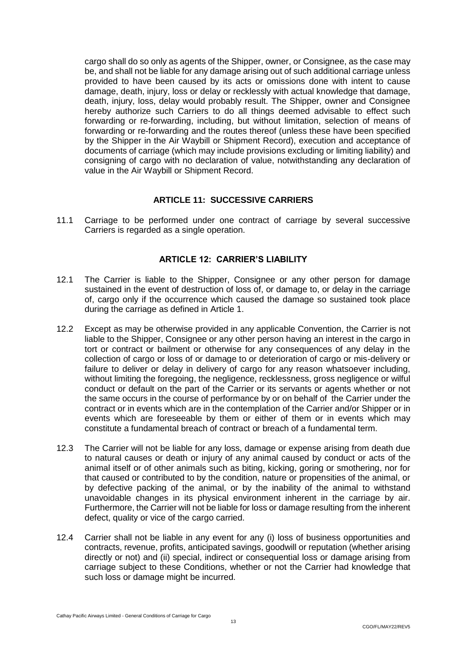cargo shall do so only as agents of the Shipper, owner, or Consignee, as the case may be, and shall not be liable for any damage arising out of such additional carriage unless provided to have been caused by its acts or omissions done with intent to cause damage, death, injury, loss or delay or recklessly with actual knowledge that damage, death, injury, loss, delay would probably result. The Shipper, owner and Consignee hereby authorize such Carriers to do all things deemed advisable to effect such forwarding or re-forwarding, including, but without limitation, selection of means of forwarding or re-forwarding and the routes thereof (unless these have been specified by the Shipper in the Air Waybill or Shipment Record), execution and acceptance of documents of carriage (which may include provisions excluding or limiting liability) and consigning of cargo with no declaration of value, notwithstanding any declaration of value in the Air Waybill or Shipment Record.

#### **ARTICLE 11: SUCCESSIVE CARRIERS**

<span id="page-14-0"></span>11.1 Carriage to be performed under one contract of carriage by several successive Carriers is regarded as a single operation.

#### **ARTICLE 12: CARRIER'S LIABILITY**

- <span id="page-14-1"></span>12.1 The Carrier is liable to the Shipper, Consignee or any other person for damage sustained in the event of destruction of loss of, or damage to, or delay in the carriage of, cargo only if the occurrence which caused the damage so sustained took place during the carriage as defined in Article 1.
- 12.2 Except as may be otherwise provided in any applicable Convention, the Carrier is not liable to the Shipper, Consignee or any other person having an interest in the cargo in tort or contract or bailment or otherwise for any consequences of any delay in the collection of cargo or loss of or damage to or deterioration of cargo or mis-delivery or failure to deliver or delay in delivery of cargo for any reason whatsoever including, without limiting the foregoing, the negligence, recklessness, gross negligence or wilful conduct or default on the part of the Carrier or its servants or agents whether or not the same occurs in the course of performance by or on behalf of the Carrier under the contract or in events which are in the contemplation of the Carrier and/or Shipper or in events which are foreseeable by them or either of them or in events which may constitute a fundamental breach of contract or breach of a fundamental term.
- 12.3 The Carrier will not be liable for any loss, damage or expense arising from death due to natural causes or death or injury of any animal caused by conduct or acts of the animal itself or of other animals such as biting, kicking, goring or smothering, nor for that caused or contributed to by the condition, nature or propensities of the animal, or by defective packing of the animal, or by the inability of the animal to withstand unavoidable changes in its physical environment inherent in the carriage by air. Furthermore, the Carrier will not be liable for loss or damage resulting from the inherent defect, quality or vice of the cargo carried.
- 12.4 Carrier shall not be liable in any event for any (i) loss of business opportunities and contracts, revenue, profits, anticipated savings, goodwill or reputation (whether arising directly or not) and (ii) special, indirect or consequential loss or damage arising from carriage subject to these Conditions, whether or not the Carrier had knowledge that such loss or damage might be incurred.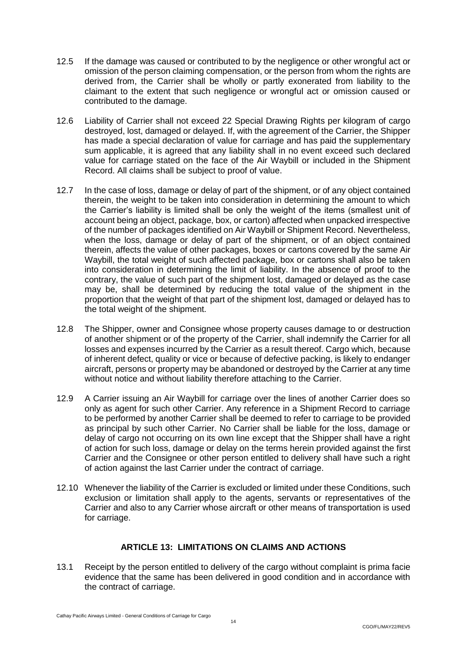- 12.5 If the damage was caused or contributed to by the negligence or other wrongful act or omission of the person claiming compensation, or the person from whom the rights are derived from, the Carrier shall be wholly or partly exonerated from liability to the claimant to the extent that such negligence or wrongful act or omission caused or contributed to the damage.
- 12.6 Liability of Carrier shall not exceed 22 Special Drawing Rights per kilogram of cargo destroyed, lost, damaged or delayed. If, with the agreement of the Carrier, the Shipper has made a special declaration of value for carriage and has paid the supplementary sum applicable, it is agreed that any liability shall in no event exceed such declared value for carriage stated on the face of the Air Waybill or included in the Shipment Record. All claims shall be subject to proof of value.
- 12.7 In the case of loss, damage or delay of part of the shipment, or of any object contained therein, the weight to be taken into consideration in determining the amount to which the Carrier's liability is limited shall be only the weight of the items (smallest unit of account being an object, package, box, or carton) affected when unpacked irrespective of the number of packages identified on Air Waybill or Shipment Record. Nevertheless, when the loss, damage or delay of part of the shipment, or of an object contained therein, affects the value of other packages, boxes or cartons covered by the same Air Waybill, the total weight of such affected package, box or cartons shall also be taken into consideration in determining the limit of liability. In the absence of proof to the contrary, the value of such part of the shipment lost, damaged or delayed as the case may be, shall be determined by reducing the total value of the shipment in the proportion that the weight of that part of the shipment lost, damaged or delayed has to the total weight of the shipment.
- 12.8 The Shipper, owner and Consignee whose property causes damage to or destruction of another shipment or of the property of the Carrier, shall indemnify the Carrier for all losses and expenses incurred by the Carrier as a result thereof. Cargo which, because of inherent defect, quality or vice or because of defective packing, is likely to endanger aircraft, persons or property may be abandoned or destroyed by the Carrier at any time without notice and without liability therefore attaching to the Carrier.
- 12.9 A Carrier issuing an Air Waybill for carriage over the lines of another Carrier does so only as agent for such other Carrier. Any reference in a Shipment Record to carriage to be performed by another Carrier shall be deemed to refer to carriage to be provided as principal by such other Carrier. No Carrier shall be liable for the loss, damage or delay of cargo not occurring on its own line except that the Shipper shall have a right of action for such loss, damage or delay on the terms herein provided against the first Carrier and the Consignee or other person entitled to delivery shall have such a right of action against the last Carrier under the contract of carriage.
- 12.10 Whenever the liability of the Carrier is excluded or limited under these Conditions, such exclusion or limitation shall apply to the agents, servants or representatives of the Carrier and also to any Carrier whose aircraft or other means of transportation is used for carriage.

## **ARTICLE 13: LIMITATIONS ON CLAIMS AND ACTIONS**

<span id="page-15-0"></span>13.1 Receipt by the person entitled to delivery of the cargo without complaint is prima facie evidence that the same has been delivered in good condition and in accordance with the contract of carriage.